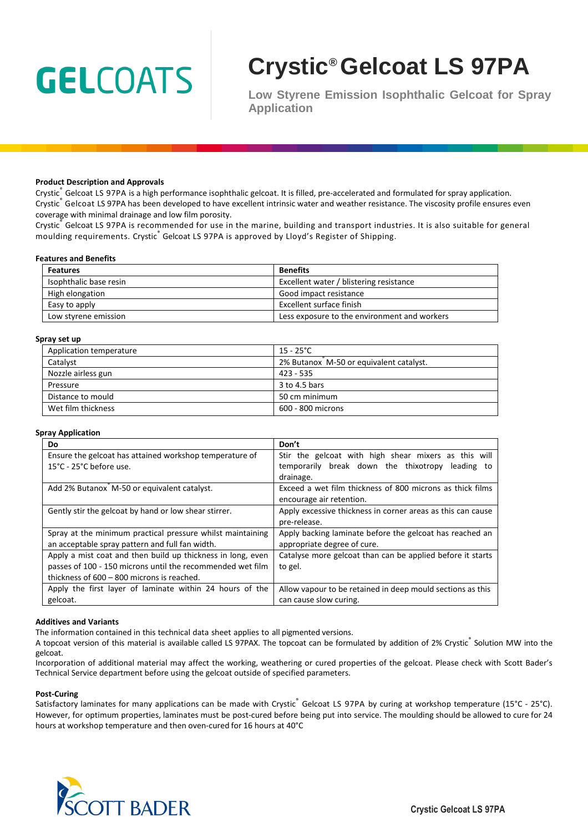# **GELCOATS**

# **Crystic® Gelcoat LS 97PA**

**Low Styrene Emission Isophthalic Gelcoat for Spray Application** 

#### **Product Description and Approvals**

Crystic<sub>s</sub> Gelcoat LS 97PA is a high performance isophthalic gelcoat. It is filled, pre-accelerated and formulated for spray application. Crystic<sup>®</sup> Gelcoat LS 97PA has been developed to have excellent intrinsic water and weather resistance. The viscosity profile ensures even coverage with minimal drainage and low film porosity.

Crystic® Gelcoat LS 97PA is recommended for use in the marine, building and transport industries. It is also suitable for general moulding requirements. Crystic ဳGelcoat LS 97PA is approved by Lloyd's Register of Shipping.

#### **Features and Benefits**

| <b>Features</b>        | <b>Benefits</b>                              |
|------------------------|----------------------------------------------|
| Isophthalic base resin | Excellent water / blistering resistance      |
| High elongation        | Good impact resistance                       |
| Easy to apply          | Excellent surface finish                     |
| Low styrene emission   | Less exposure to the environment and workers |

#### **Spray set up**

| ргау эстир              |                                         |  |
|-------------------------|-----------------------------------------|--|
| Application temperature | $15 - 25^{\circ}$ C                     |  |
| Catalyst                | 2% Butanox M-50 or equivalent catalyst. |  |
| Nozzle airless gun      | $423 - 535$                             |  |
| Pressure                | 3 to 4.5 bars                           |  |
| Distance to mould       | 50 cm minimum                           |  |
| Wet film thickness      | 600 - 800 microns                       |  |

#### **Spray Application**

| Do                                                                                                            | Don't                                                                                                    |
|---------------------------------------------------------------------------------------------------------------|----------------------------------------------------------------------------------------------------------|
| Ensure the gelcoat has attained workshop temperature of<br>15°C - 25°C before use.                            | Stir the gelcoat with high shear mixers as this will<br>temporarily break down the thixotropy leading to |
|                                                                                                               | drainage.                                                                                                |
| Add 2% Butanox M-50 or equivalent catalyst.                                                                   | Exceed a wet film thickness of 800 microns as thick films                                                |
|                                                                                                               | encourage air retention.                                                                                 |
| Gently stir the gelcoat by hand or low shear stirrer.                                                         | Apply excessive thickness in corner areas as this can cause                                              |
|                                                                                                               | pre-release.                                                                                             |
| Spray at the minimum practical pressure whilst maintaining<br>an acceptable spray pattern and full fan width. | Apply backing laminate before the gelcoat has reached an<br>appropriate degree of cure.                  |
| Apply a mist coat and then build up thickness in long, even                                                   | Catalyse more gelcoat than can be applied before it starts                                               |
| passes of 100 - 150 microns until the recommended wet film                                                    | to gel.                                                                                                  |
| thickness of 600 - 800 microns is reached.                                                                    |                                                                                                          |
| Apply the first layer of laminate within 24 hours of the                                                      | Allow vapour to be retained in deep mould sections as this                                               |
| gelcoat.                                                                                                      | can cause slow curing.                                                                                   |

#### **Additives and Variants**

The information contained in this technical data sheet applies to all pigmented versions.

A topcoat version of this material is available called LS 97PAX. The topcoat can be formulated by addition of 2% Crystic Solution MW into the gelcoat.

Incorporation of additional material may affect the working, weathering or cured properties of the gelcoat. Please check with Scott Bader's Technical Service department before using the gelcoat outside of specified parameters.

#### **Post-Curing**

Satisfactory laminates for many applications can be made with Crystic Delcoat LS 97PA by curing at workshop temperature (15°C - 25°C). However, for optimum properties, laminates must be post-cured before being put into service. The moulding should be allowed to cure for 24 hours at workshop temperature and then oven-cured for 16 hours at 40°C